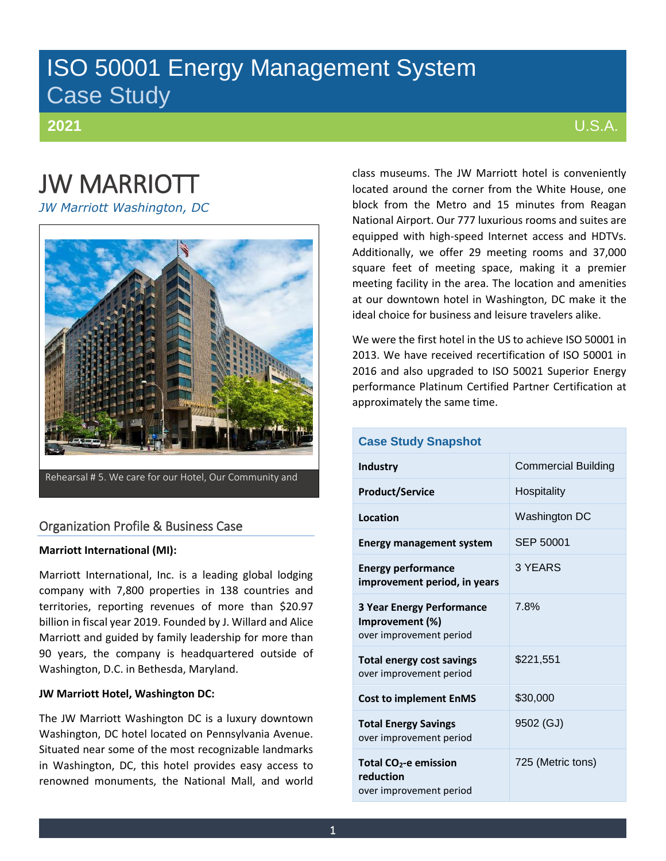## ISO 50001 Energy Management System Case Study

**2021**

## U.S.A.

# JW MARRIOTT

*JW Marriott Washington, DC*



Rehearsal # 5. We care for our Hotel, Our Community and

## Organization Profile & Business Case

#### **Marriott International (MI):**

Marriott International, Inc. is a leading global lodging company with 7,800 properties in 138 countries and territories, reporting revenues of more than \$20.97 billion in fiscal year 2019. Founded by J. Willard and Alice Marriott and guided by family leadership for more than 90 years, the company is headquartered outside of Washington, D.C. in Bethesda, Maryland.

#### **JW Marriott Hotel, Washington DC:**

The JW Marriott Washington DC is a luxury downtown Washington, DC hotel located on Pennsylvania Avenue. Situated near some of the most recognizable landmarks in Washington, DC, this hotel provides easy access to renowned monuments, the National Mall, and world class museums. The JW Marriott hotel is conveniently located around the corner from the White House, one block from the Metro and 15 minutes from Reagan National Airport. Our 777 luxurious rooms and suites are equipped with high-speed Internet access and HDTVs. Additionally, we offer 29 meeting rooms and 37,000 square feet of meeting space, making it a premier meeting facility in the area. The location and amenities at our downtown hotel in Washington, DC make it the ideal choice for business and leisure travelers alike.

We were the first hotel in the US to achieve ISO 50001 in 2013. We have received recertification of ISO 50001 in 2016 and also upgraded to ISO 50021 Superior Energy performance Platinum Certified Partner Certification at approximately the same time.

| <b>Case Study Snapshot</b>                                                     |                            |
|--------------------------------------------------------------------------------|----------------------------|
| Industry                                                                       | <b>Commercial Building</b> |
| <b>Product/Service</b>                                                         | Hospitality                |
| <b>Location</b>                                                                | Washington DC              |
| <b>Energy management system</b>                                                | SEP 50001                  |
| <b>Energy performance</b><br>improvement period, in years                      | 3 YEARS                    |
| <b>3 Year Energy Performance</b><br>Improvement (%)<br>over improvement period | 7.8%                       |
| <b>Total energy cost savings</b><br>over improvement period                    | \$221,551                  |
| <b>Cost to implement EnMS</b>                                                  | \$30,000                   |
| <b>Total Energy Savings</b><br>over improvement period                         | 9502 (GJ)                  |
| Total CO <sub>2</sub> -e emission<br>reduction<br>over improvement period      | 725 (Metric tons)          |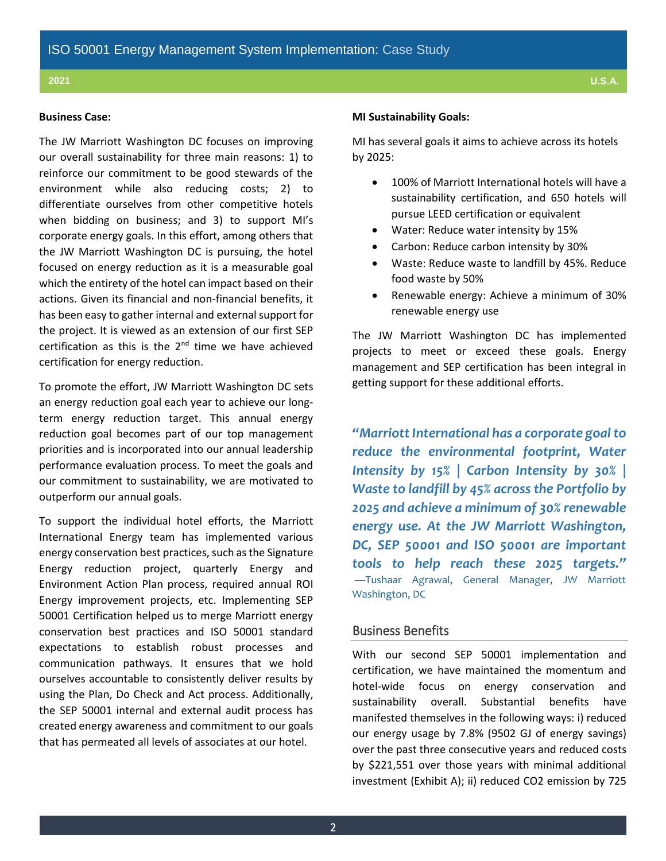#### **Business Case:**

The JW Marriott Washington DC focuses on improving our overall sustainability for three main reasons: 1) to reinforce our commitment to be good stewards of the environment while also reducing costs; 2) to differentiate ourselves from other competitive hotels when bidding on business; and 3) to support MI's corporate energy goals. In this effort, among others that the JW Marriott Washington DC is pursuing, the hotel focused on energy reduction as it is a measurable goal which the entirety of the hotel can impact based on their actions. Given its financial and non-financial benefits, it has been easy to gather internal and external support for the project. It is viewed as an extension of our first SEP certification as this is the  $2<sup>nd</sup>$  time we have achieved certification for energy reduction.

To promote the effort, JW Marriott Washington DC sets an energy reduction goal each year to achieve our longterm energy reduction target. This annual energy reduction goal becomes part of our top management priorities and is incorporated into our annual leadership performance evaluation process. To meet the goals and our commitment to sustainability, we are motivated to outperform our annual goals.

To support the individual hotel efforts, the Marriott International Energy team has implemented various energy conservation best practices, such as the Signature Energy reduction project, quarterly Energy and Environment Action Plan process, required annual ROI Energy improvement projects, etc. Implementing SEP 50001 Certification helped us to merge Marriott energy conservation best practices and ISO 50001 standard expectations to establish robust processes and communication pathways. It ensures that we hold ourselves accountable to consistently deliver results by using the Plan, Do Check and Act process. Additionally, the SEP 50001 internal and external audit process has created energy awareness and commitment to our goals that has permeated all levels of associates at our hotel.

#### **MI Sustainability Goals:**

MI has several goals it aims to achieve across its hotels by 2025:

- 100% of Marriott International hotels will have a sustainability certification, and 650 hotels will pursue LEED certification or equivalent
- Water: Reduce water intensity by 15%
- Carbon: Reduce carbon intensity by 30%
- Waste: Reduce waste to landfill by 45%. Reduce food waste by 50%
- Renewable energy: Achieve a minimum of 30% renewable energy use

The JW Marriott Washington DC has implemented projects to meet or exceed these goals. Energy management and SEP certification has been integral in getting support for these additional efforts.

*"Marriott International has a corporate goal to reduce the environmental footprint, Water Intensity by 15% | Carbon Intensity by 30% | Waste to landfill by 45% across the Portfolio by 2025 and achieve a minimum of 30% renewable energy use. At the JW Marriott Washington, DC, SEP 50001 and ISO 50001 are important tools to help reach these 2025 targets."* —Tushaar Agrawal, General Manager, JW Marriott Washington, DC

### Business Benefits

With our second SEP 50001 implementation and certification, we have maintained the momentum and hotel-wide focus on energy conservation and sustainability overall. Substantial benefits have manifested themselves in the following ways: i) reduced our energy usage by 7.8% (9502 GJ of energy savings) over the past three consecutive years and reduced costs by \$221,551 over those years with minimal additional investment (Exhibit A); ii) reduced CO2 emission by 725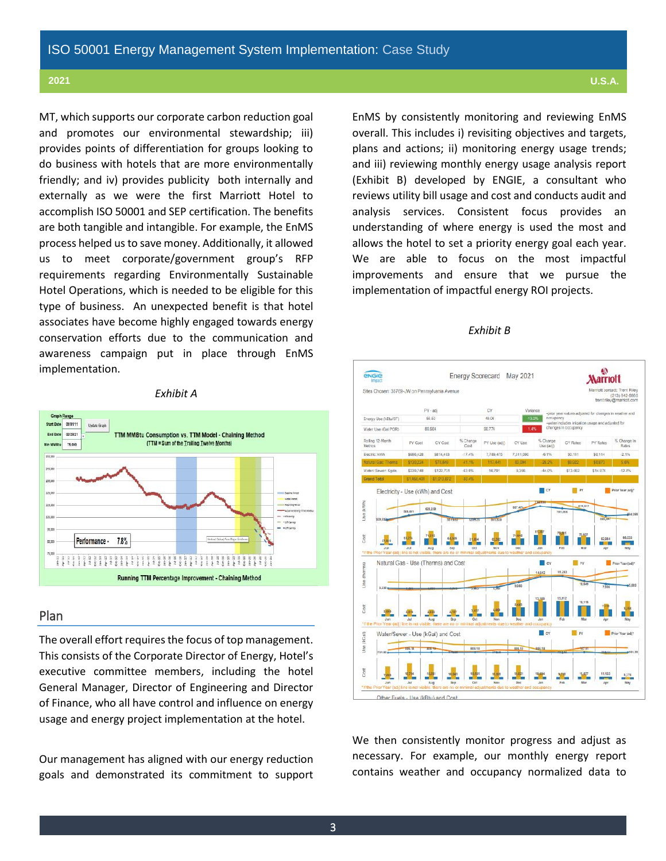MT, which supports our corporate carbon reduction goal and promotes our environmental stewardship; iii) provides points of differentiation for groups looking to do business with hotels that are more environmentally friendly; and iv) provides publicity both internally and externally as we were the first Marriott Hotel to accomplish ISO 50001 and SEP certification. The benefits are both tangible and intangible. For example, the EnMS process helped us to save money. Additionally, it allowed us to meet corporate/government group's RFP requirements regarding Environmentally Sustainable Hotel Operations, which is needed to be eligible for this type of business. An unexpected benefit is that hotel associates have become highly engaged towards energy conservation efforts due to the communication and awareness campaign put in place through EnMS implementation.

#### *Exhibit A*



#### Plan

The overall effort requires the focus of top management. This consists of the Corporate Director of Energy, Hotel's executive committee members, including the hotel General Manager, Director of Engineering and Director of Finance, who all have control and influence on energy usage and energy project implementation at the hotel.

Our management has aligned with our energy reduction goals and demonstrated its commitment to support EnMS by consistently monitoring and reviewing EnMS overall. This includes i) revisiting objectives and targets, plans and actions; ii) monitoring energy usage trends; and iii) reviewing monthly energy usage analysis report (Exhibit B) developed by ENGIE, a consultant who reviews utility bill usage and cost and conducts audit and analysis services. Consistent focus provides an understanding of where energy is used the most and allows the hotel to set a priority energy goal each year. We are able to focus on the most impactful improvements and ensure that we pursue the implementation of impactful energy ROI projects.

#### *Exhibit B*



We then consistently monitor progress and adjust as necessary. For example, our monthly energy report contains weather and occupancy normalized data to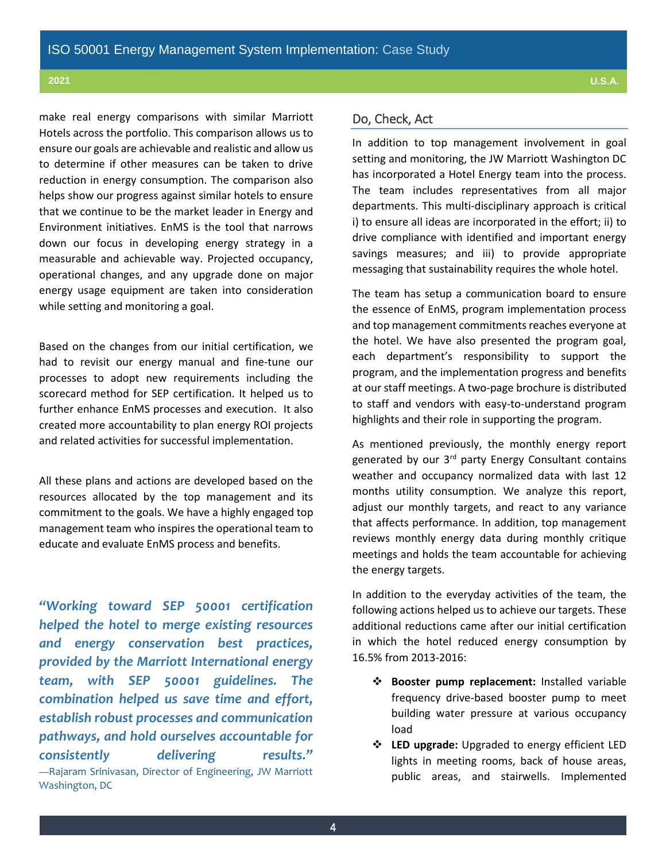make real energy comparisons with similar Marriott Hotels across the portfolio. This comparison allows us to ensure our goals are achievable and realistic and allow us to determine if other measures can be taken to drive reduction in energy consumption. The comparison also helps show our progress against similar hotels to ensure that we continue to be the market leader in Energy and Environment initiatives. EnMS is the tool that narrows down our focus in developing energy strategy in a measurable and achievable way. Projected occupancy, operational changes, and any upgrade done on major energy usage equipment are taken into consideration while setting and monitoring a goal.

Based on the changes from our initial certification, we had to revisit our energy manual and fine-tune our processes to adopt new requirements including the scorecard method for SEP certification. It helped us to further enhance EnMS processes and execution. It also created more accountability to plan energy ROI projects and related activities for successful implementation.

All these plans and actions are developed based on the resources allocated by the top management and its commitment to the goals. We have a highly engaged top management team who inspires the operational team to educate and evaluate EnMS process and benefits.

*"Working toward SEP 50001 certification helped the hotel to merge existing resources and energy conservation best practices, provided by the Marriott International energy team, with SEP 50001 guidelines. The combination helped us save time and effort, establish robust processes and communication pathways, and hold ourselves accountable for consistently delivering results."* —Rajaram Srinivasan, Director of Engineering, JW Marriott Washington, DC

## Do, Check, Act

In addition to top management involvement in goal setting and monitoring, the JW Marriott Washington DC has incorporated a Hotel Energy team into the process. The team includes representatives from all major departments. This multi-disciplinary approach is critical i) to ensure all ideas are incorporated in the effort; ii) to drive compliance with identified and important energy savings measures; and iii) to provide appropriate messaging that sustainability requires the whole hotel.

The team has setup a communication board to ensure the essence of EnMS, program implementation process and top management commitments reaches everyone at the hotel. We have also presented the program goal, each department's responsibility to support the program, and the implementation progress and benefits at our staff meetings. A two-page brochure is distributed to staff and vendors with easy-to-understand program highlights and their role in supporting the program.

As mentioned previously, the monthly energy report generated by our 3<sup>rd</sup> party Energy Consultant contains weather and occupancy normalized data with last 12 months utility consumption. We analyze this report, adjust our monthly targets, and react to any variance that affects performance. In addition, top management reviews monthly energy data during monthly critique meetings and holds the team accountable for achieving the energy targets.

In addition to the everyday activities of the team, the following actions helped us to achieve our targets. These additional reductions came after our initial certification in which the hotel reduced energy consumption by 16.5% from 2013-2016:

- **Booster pump replacement:** Installed variable frequency drive-based booster pump to meet building water pressure at various occupancy load
- **LED upgrade:** Upgraded to energy efficient LED lights in meeting rooms, back of house areas, public areas, and stairwells. Implemented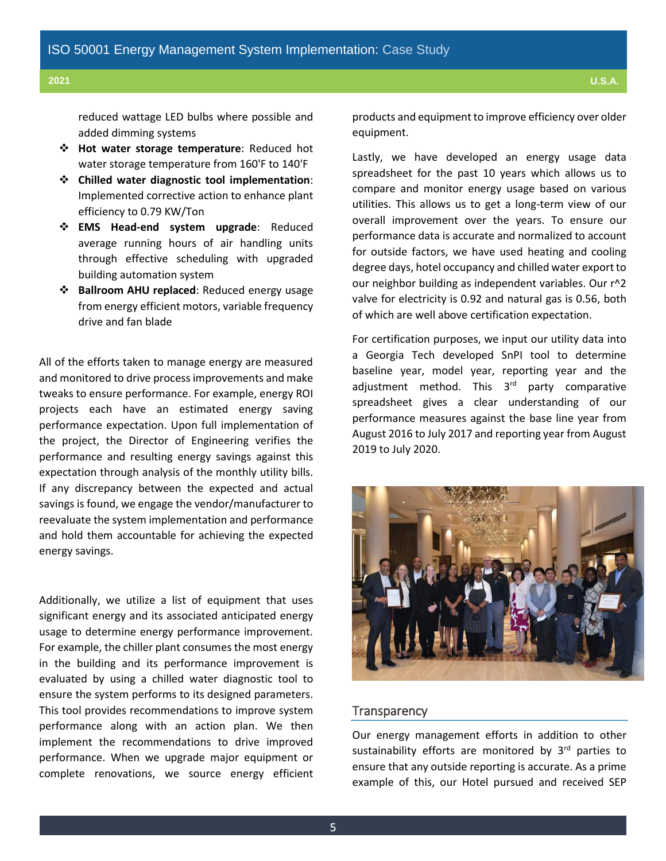reduced wattage LED bulbs where possible and added dimming systems

- **Hot water storage temperature**: Reduced hot water storage temperature from 160'F to 140'F
- **Chilled water diagnostic tool implementation**: Implemented corrective action to enhance plant efficiency to 0.79 KW/Ton
- **EMS Head-end system upgrade**: Reduced average running hours of air handling units through effective scheduling with upgraded building automation system
- **Ballroom AHU replaced**: Reduced energy usage from energy efficient motors, variable frequency drive and fan blade

All of the efforts taken to manage energy are measured and monitored to drive process improvements and make tweaks to ensure performance. For example, energy ROI projects each have an estimated energy saving performance expectation. Upon full implementation of the project, the Director of Engineering verifies the performance and resulting energy savings against this expectation through analysis of the monthly utility bills. If any discrepancy between the expected and actual savings is found, we engage the vendor/manufacturer to reevaluate the system implementation and performance and hold them accountable for achieving the expected energy savings.

Additionally, we utilize a list of equipment that uses significant energy and its associated anticipated energy usage to determine energy performance improvement. For example, the chiller plant consumes the most energy in the building and its performance improvement is evaluated by using a chilled water diagnostic tool to ensure the system performs to its designed parameters. This tool provides recommendations to improve system performance along with an action plan. We then implement the recommendations to drive improved performance. When we upgrade major equipment or complete renovations, we source energy efficient products and equipment to improve efficiency over older equipment.

Lastly, we have developed an energy usage data spreadsheet for the past 10 years which allows us to compare and monitor energy usage based on various utilities. This allows us to get a long-term view of our overall improvement over the years. To ensure our performance data is accurate and normalized to account for outside factors, we have used heating and cooling degree days, hotel occupancy and chilled water export to our neighbor building as independent variables. Our r^2 valve for electricity is 0.92 and natural gas is 0.56, both of which are well above certification expectation.

For certification purposes, we input our utility data into a Georgia Tech developed SnPI tool to determine baseline year, model year, reporting year and the adjustment method. This 3<sup>rd</sup> party comparative spreadsheet gives a clear understanding of our performance measures against the base line year from August 2016 to July 2017 and reporting year from August 2019 to July 2020.



#### **Transparency**

Our energy management efforts in addition to other sustainability efforts are monitored by  $3<sup>rd</sup>$  parties to ensure that any outside reporting is accurate. As a prime example of this, our Hotel pursued and received SEP